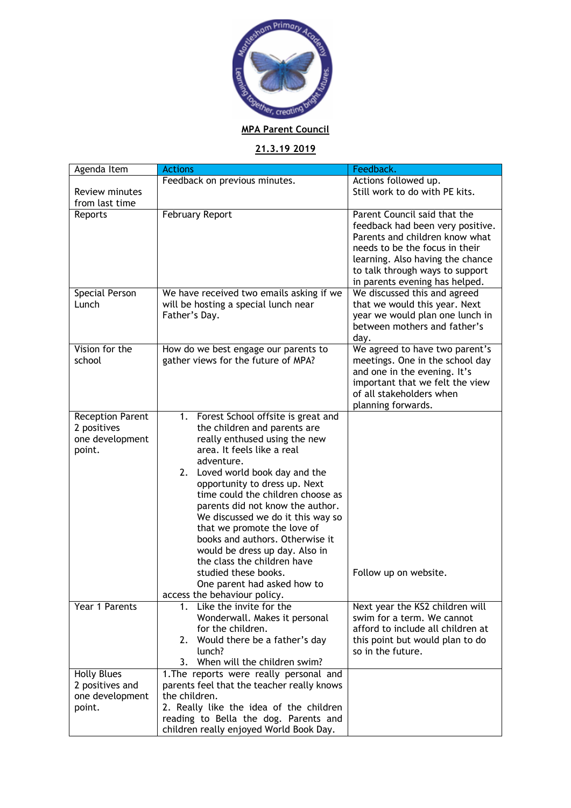

**21.3.19 2019** 

| Agenda Item               | <b>Actions</b>                                              | Feedback.                         |
|---------------------------|-------------------------------------------------------------|-----------------------------------|
|                           | Feedback on previous minutes.                               | Actions followed up.              |
| <b>Review minutes</b>     |                                                             | Still work to do with PE kits.    |
| from last time            |                                                             |                                   |
| Reports                   | <b>February Report</b>                                      | Parent Council said that the      |
|                           |                                                             | feedback had been very positive.  |
|                           |                                                             | Parents and children know what    |
|                           |                                                             | needs to be the focus in their    |
|                           |                                                             | learning. Also having the chance  |
|                           |                                                             | to talk through ways to support   |
|                           |                                                             | in parents evening has helped.    |
| Special Person            | We have received two emails asking if we                    | We discussed this and agreed      |
| Lunch                     | will be hosting a special lunch near                        | that we would this year. Next     |
|                           | Father's Day.                                               | year we would plan one lunch in   |
|                           |                                                             | between mothers and father's      |
|                           |                                                             | day.                              |
| Vision for the            | How do we best engage our parents to                        | We agreed to have two parent's    |
| school                    | gather views for the future of MPA?                         | meetings. One in the school day   |
|                           |                                                             | and one in the evening. It's      |
|                           |                                                             | important that we felt the view   |
|                           |                                                             | of all stakeholders when          |
|                           |                                                             | planning forwards.                |
| <b>Reception Parent</b>   | Forest School offsite is great and<br>1.                    |                                   |
| 2 positives               | the children and parents are                                |                                   |
| one development<br>point. | really enthused using the new<br>area. It feels like a real |                                   |
|                           | adventure.                                                  |                                   |
|                           | 2. Loved world book day and the                             |                                   |
|                           | opportunity to dress up. Next                               |                                   |
|                           | time could the children choose as                           |                                   |
|                           | parents did not know the author.                            |                                   |
|                           | We discussed we do it this way so                           |                                   |
|                           | that we promote the love of                                 |                                   |
|                           | books and authors. Otherwise it                             |                                   |
|                           | would be dress up day. Also in                              |                                   |
|                           | the class the children have                                 |                                   |
|                           | studied these books.                                        | Follow up on website.             |
|                           | One parent had asked how to                                 |                                   |
|                           | access the behaviour policy.                                |                                   |
| Year 1 Parents            | 1. Like the invite for the                                  | Next year the KS2 children will   |
|                           | Wonderwall. Makes it personal                               | swim for a term. We cannot        |
|                           | for the children.                                           | afford to include all children at |
|                           | 2. Would there be a father's day                            | this point but would plan to do   |
|                           | lunch?                                                      | so in the future.                 |
|                           | 3. When will the children swim?                             |                                   |
| <b>Holly Blues</b>        | 1. The reports were really personal and                     |                                   |
| 2 positives and           | parents feel that the teacher really knows                  |                                   |
| one development           | the children.                                               |                                   |
| point.                    | 2. Really like the idea of the children                     |                                   |
|                           | reading to Bella the dog. Parents and                       |                                   |
|                           | children really enjoyed World Book Day.                     |                                   |